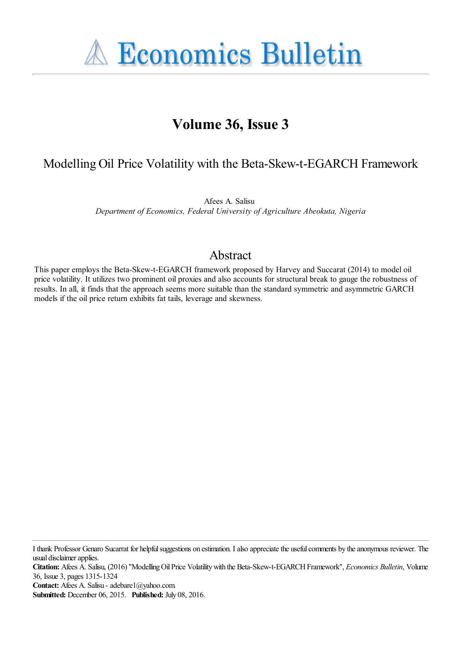**A Economics Bulletin** 

# **Volume 36, Issue 3**

## Modelling Oil Price Volatility with the Beta-Skew-t-EGARCH Framework

Afees A. Salisu *Department of Economics, Federal University of Agriculture Abeokuta, Nigeria*

## Abstract

This paper employs the Beta-Skew-t-EGARCH framework proposed by Harvey and Succarat (2014) to model oil price volatility. It utilizes two prominent oil proxies and also accounts for structural break to gauge the robustness of results. In all, it finds that the approach seems more suitable than the standard symmetric and asymmetric GARCH models if the oil price return exhibits fat tails, leverage and skewness.

I thank Professor Genaro Sucarrat for helpful suggestions on estimation. I also appreciate the useful comments by the anonymous reviewer. The usual disclaimer applies.

**Citation:** Afees A. Salisu, (2016) ''Modelling Oil Price Volatility with the Beta-Skew-t-EGARCH Framework'', *Economics Bulletin*, Volume 36, Issue 3, pages 1315-1324

**Contact:** Afees A. Salisu - adebare1@yahoo.com.

**Submitted:** December 06, 2015. **Published:** July 08, 2016.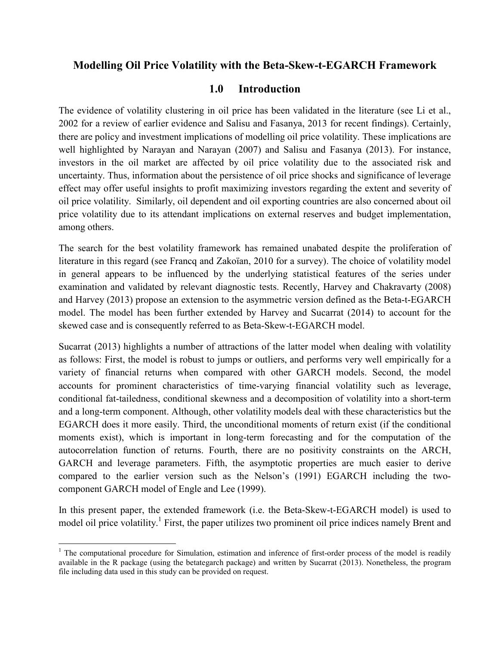### Modelling Oil Price Volatility with the Beta-Skew-t-EGARCH Framework

#### **Introduction**  $1.0$

The evidence of volatility clustering in oil price has been validated in the literature (see Li et al., 2002 for a review of earlier evidence and Salisu and Fasanya, 2013 for recent findings). Certainly, there are policy and investment implications of modelling oil price volatility. These implications are well highlighted by Narayan and Narayan (2007) and Salisu and Fasanya (2013). For instance, investors in the oil market are affected by oil price volatility due to the associated risk and uncertainty. Thus, information about the persistence of oil price shocks and significance of leverage effect may offer useful insights to profit maximizing investors regarding the extent and severity of oil price volatility. Similarly, oil dependent and oil exporting countries are also concerned about oil price volatility due to its attendant implications on external reserves and budget implementation, among others.

The search for the best volatility framework has remained unabated despite the proliferation of literature in this regard (see Francq and Zakoïan, 2010 for a survey). The choice of volatility model in general appears to be influenced by the underlying statistical features of the series under examination and validated by relevant diagnostic tests. Recently, Harvey and Chakravarty (2008) and Harvey (2013) propose an extension to the asymmetric version defined as the Beta-t-EGARCH model. The model has been further extended by Harvey and Sucarrat (2014) to account for the skewed case and is consequently referred to as Beta-Skew-t-EGARCH model.

Sucarrat (2013) highlights a number of attractions of the latter model when dealing with volatility as follows: First, the model is robust to jumps or outliers, and performs very well empirically for a variety of financial returns when compared with other GARCH models. Second, the model accounts for prominent characteristics of time-varying financial volatility such as leverage, conditional fat-tailedness, conditional skewness and a decomposition of volatility into a short-term and a long-term component. Although, other volatility models deal with these characteristics but the EGARCH does it more easily. Third, the unconditional moments of return exist (if the conditional moments exist), which is important in long-term forecasting and for the computation of the autocorrelation function of returns. Fourth, there are no positivity constraints on the ARCH, GARCH and leverage parameters. Fifth, the asymptotic properties are much easier to derive compared to the earlier version such as the Nelson's (1991) EGARCH including the twocomponent GARCH model of Engle and Lee (1999).

In this present paper, the extended framework (i.e. the Beta-Skew-t-EGARCH model) is used to model oil price volatility.<sup>1</sup> First, the paper utilizes two prominent oil price indices namely Brent and

<sup>&</sup>lt;sup>1</sup> The computational procedure for Simulation, estimation and inference of first-order process of the model is readily available in the R package (using the betategarch package) and written by Sucarrat (2013). Nonetheless, the program file including data used in this study can be provided on request.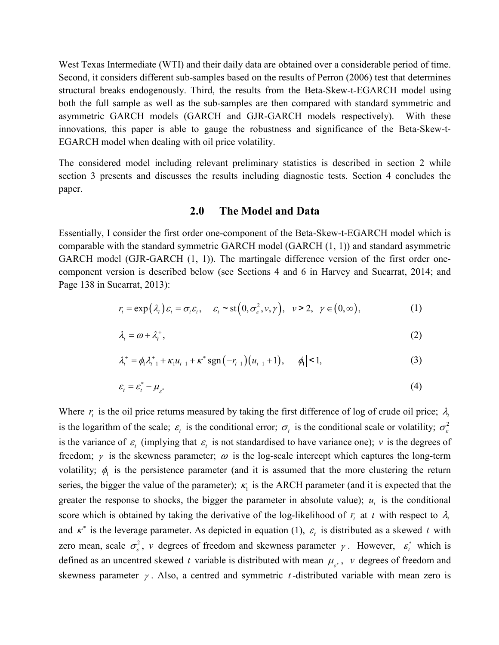West Texas Intermediate (WTI) and their daily data are obtained over a considerable period of time. Second, it considers different sub-samples based on the results of Perron (2006) test that determines structural breaks endogenously. Third, the results from the Beta-Skew-t-EGARCH model using both the full sample as well as the sub-samples are then compared with standard symmetric and asymmetric GARCH models (GARCH and GJR-GARCH models respectively). With these innovations, this paper is able to gauge the robustness and significance of the Beta-Skew-t-EGARCH model when dealing with oil price volatility.

The considered model including relevant preliminary statistics is described in section 2 while section 3 presents and discusses the results including diagnostic tests. Section 4 concludes the paper.

#### 2.0 **The Model and Data**

Essentially, I consider the first order one-component of the Beta-Skew-t-EGARCH model which is comparable with the standard symmetric GARCH model (GARCH  $(1, 1)$ ) and standard asymmetric GARCH model (GJR-GARCH (1, 1)). The martingale difference version of the first order onecomponent version is described below (see Sections 4 and 6 in Harvey and Sucarrat, 2014; and Page 138 in Sucarrat, 2013):

$$
r_{t} = \exp(\lambda_{t})\varepsilon_{t} = \sigma_{t}\varepsilon_{t}, \quad \varepsilon_{t} \sim \text{st}\big(0, \sigma_{\varepsilon}^{2}, \nu, \gamma\big), \quad \nu \geq 2, \quad \gamma \in (0, \infty), \tag{1}
$$

$$
\lambda_t = \omega + \lambda_t^+, \tag{2}
$$

$$
\lambda_t^+ = \phi_1 \lambda_{t-1}^+ + \kappa_1 u_{t-1} + \kappa^* \operatorname{sgn}(-r_{t-1})(u_{t-1} + 1), \quad |\phi_1| < 1,\tag{3}
$$

$$
\varepsilon_{t} = \varepsilon_{t}^{*} - \mu_{\varepsilon^{*}} \tag{4}
$$

Where  $r_t$  is the oil price returns measured by taking the first difference of log of crude oil price;  $\lambda_t$ is the logarithm of the scale;  $\varepsilon_t$  is the conditional error;  $\sigma_t$  is the conditional scale or volatility;  $\sigma_{\varepsilon}^2$ is the variance of  $\varepsilon$  (implying that  $\varepsilon$  is not standardised to have variance one); v is the degrees of freedom;  $\gamma$  is the skewness parameter;  $\omega$  is the log-scale intercept which captures the long-term volatility;  $\phi_1$  is the persistence parameter (and it is assumed that the more clustering the return series, the bigger the value of the parameter);  $\kappa_1$  is the ARCH parameter (and it is expected that the greater the response to shocks, the bigger the parameter in absolute value);  $u_t$  is the conditional score which is obtained by taking the derivative of the log-likelihood of  $r_t$  at t with respect to  $\lambda_t$ and  $\kappa^*$  is the leverage parameter. As depicted in equation (1),  $\varepsilon_t$  is distributed as a skewed t with zero mean, scale  $\sigma_{\varepsilon}^2$ , v degrees of freedom and skewness parameter  $\gamma$ . However,  $\varepsilon_t^*$  which is defined as an uncentred skewed t variable is distributed with mean  $\mu_{\varepsilon}$ , v degrees of freedom and skewness parameter  $\gamma$ . Also, a centred and symmetric t-distributed variable with mean zero is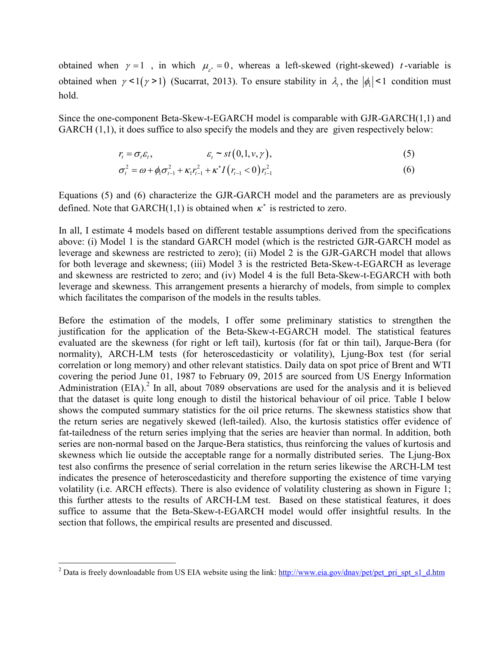obtained when  $\gamma = 1$ , in which  $\mu_{\gamma} = 0$ , whereas a left-skewed (right-skewed) *t*-variable is obtained when  $\gamma$ <1( $\gamma$ >1) (Sucarrat, 2013). To ensure stability in  $\lambda_t$ , the  $|\phi_t|$ <1 condition must hold.

Since the one-component Beta-Skew-t-EGARCH model is comparable with GJR-GARCH(1,1) and GARCH  $(1,1)$ , it does suffice to also specify the models and they are given respectively below:

$$
r_t = \sigma_t \varepsilon_t, \qquad \varepsilon_t \sim st(0, 1, v, \gamma), \qquad (5)
$$

$$
\sigma_t^2 = \omega + \phi_1 \sigma_{t-1}^2 + \kappa_1 r_{t-1}^2 + \kappa^* I(r_{t-1} < 0) r_{t-1}^2
$$
\n(6)

Equations (5) and (6) characterize the GJR-GARCH model and the parameters are as previously defined. Note that GARCH $(1.1)$  is obtained when  $\kappa^*$  is restricted to zero.

In all, I estimate 4 models based on different testable assumptions derived from the specifications above: (i) Model 1 is the standard GARCH model (which is the restricted GJR-GARCH model as leverage and skewness are restricted to zero); (ii) Model 2 is the GJR-GARCH model that allows for both leverage and skewness; (iii) Model 3 is the restricted Beta-Skew-t-EGARCH as leverage and skewness are restricted to zero; and (iv) Model 4 is the full Beta-Skew-t-EGARCH with both leverage and skewness. This arrangement presents a hierarchy of models, from simple to complex which facilitates the comparison of the models in the results tables.

Before the estimation of the models, I offer some preliminary statistics to strengthen the justification for the application of the Beta-Skew-t-EGARCH model. The statistical features evaluated are the skewness (for right or left tail), kurtosis (for fat or thin tail), Jarque-Bera (for normality), ARCH-LM tests (for heteroscedasticity or volatility), Ljung-Box test (for serial correlation or long memory) and other relevant statistics. Daily data on spot price of Brent and WTI covering the period June 01, 1987 to February 09, 2015 are sourced from US Energy Information Administration (EIA).<sup>2</sup> In all, about 7089 observations are used for the analysis and it is believed that the dataset is quite long enough to distil the historical behaviour of oil price. Table I below shows the computed summary statistics for the oil price returns. The skewness statistics show that the return series are negatively skewed (left-tailed). Also, the kurtosis statistics offer evidence of fat-tailedness of the return series implying that the series are heavier than normal. In addition, both series are non-normal based on the Jarque-Bera statistics, thus reinforcing the values of kurtosis and skewness which lie outside the acceptable range for a normally distributed series. The Ljung-Box test also confirms the presence of serial correlation in the return series likewise the ARCH-LM test indicates the presence of heteroscedasticity and therefore supporting the existence of time varying volatility (i.e. ARCH effects). There is also evidence of volatility clustering as shown in Figure 1; this further attests to the results of ARCH-LM test. Based on these statistical features, it does suffice to assume that the Beta-Skew-t-EGARCH model would offer insightful results. In the section that follows, the empirical results are presented and discussed.

<sup>&</sup>lt;sup>2</sup> Data is freely downloadable from US EIA website using the link: http://www.eia.gov/dnav/pet/pet\_pri\_spt\_s1\_d.htm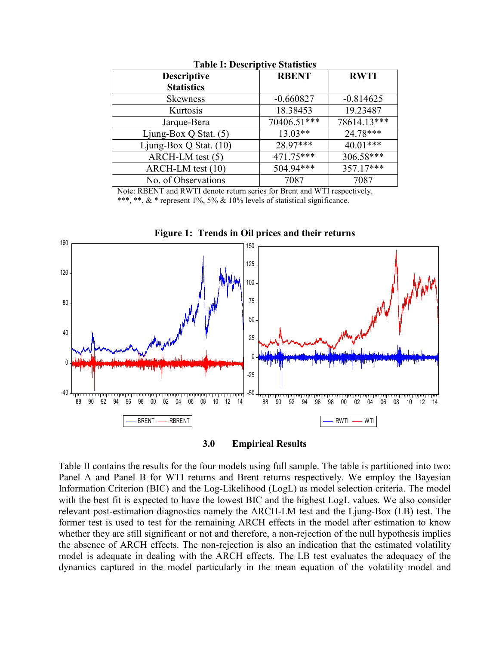| <b>Descriptive</b><br><b>Statistics</b> | <b>RBENT</b> | <b>RWTI</b> |  |  |  |  |  |  |  |  |
|-----------------------------------------|--------------|-------------|--|--|--|--|--|--|--|--|
|                                         |              |             |  |  |  |  |  |  |  |  |
| <b>Skewness</b>                         | $-0.660827$  | $-0.814625$ |  |  |  |  |  |  |  |  |
| Kurtosis                                | 18.38453     | 19.23487    |  |  |  |  |  |  |  |  |
| Jarque-Bera                             | 70406.51***  | 78614.13*** |  |  |  |  |  |  |  |  |
| Ljung-Box Q Stat. $(5)$                 | $13.03**$    | $24.78***$  |  |  |  |  |  |  |  |  |
| Ljung-Box Q Stat. $(10)$                | 28.97***     | $40.01***$  |  |  |  |  |  |  |  |  |
| ARCH-LM test (5)                        | $471.75***$  | $306.58***$ |  |  |  |  |  |  |  |  |
| ARCH-LM test (10)                       | $504.94***$  | $357.17***$ |  |  |  |  |  |  |  |  |
| No. of Observations                     | 7087         | 7087        |  |  |  |  |  |  |  |  |

**Table I: Descriptive Statistics** 

Note: RBENT and RWTI denote return series for Brent and WTI respectively. \*\*\*, \*\*, & \* represent 1%, 5% & 10% levels of statistical significance.



Figure 1: Trends in Oil prices and their returns



Table II contains the results for the four models using full sample. The table is partitioned into two: Panel A and Panel B for WTI returns and Brent returns respectively. We employ the Bayesian Information Criterion (BIC) and the Log-Likelihood (LogL) as model selection criteria. The model with the best fit is expected to have the lowest BIC and the highest LogL values. We also consider relevant post-estimation diagnostics namely the ARCH-LM test and the Ljung-Box (LB) test. The former test is used to test for the remaining ARCH effects in the model after estimation to know whether they are still significant or not and therefore, a non-rejection of the null hypothesis implies the absence of ARCH effects. The non-rejection is also an indication that the estimated volatility model is adequate in dealing with the ARCH effects. The LB test evaluates the adequacy of the dynamics captured in the model particularly in the mean equation of the volatility model and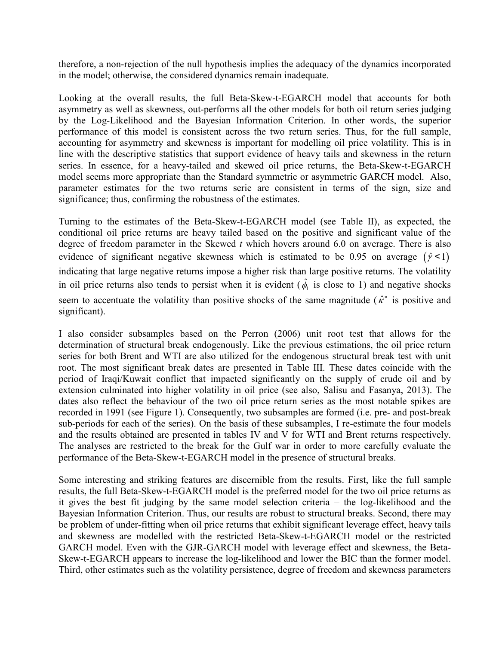therefore, a non-rejection of the null hypothesis implies the adequacy of the dynamics incorporated in the model; otherwise, the considered dynamics remain inadequate.

Looking at the overall results, the full Beta-Skew-t-EGARCH model that accounts for both asymmetry as well as skewness, out-performs all the other models for both oil return series judging by the Log-Likelihood and the Bayesian Information Criterion. In other words, the superior performance of this model is consistent across the two return series. Thus, for the full sample, accounting for asymmetry and skewness is important for modelling oil price volatility. This is in line with the descriptive statistics that support evidence of heavy tails and skewness in the return series. In essence, for a heavy-tailed and skewed oil price returns, the Beta-Skew-t-EGARCH model seems more appropriate than the Standard symmetric or asymmetric GARCH model. Also, parameter estimates for the two returns serie are consistent in terms of the sign, size and significance; thus, confirming the robustness of the estimates.

Turning to the estimates of the Beta-Skew-t-EGARCH model (see Table II), as expected, the conditional oil price returns are heavy tailed based on the positive and significant value of the degree of freedom parameter in the Skewed  $t$  which hovers around 6.0 on average. There is also evidence of significant negative skewness which is estimated to be 0.95 on average  $(\hat{\gamma} < 1)$ indicating that large negative returns impose a higher risk than large positive returns. The volatility in oil price returns also tends to persist when it is evident ( $\hat{\phi}_i$  is close to 1) and negative shocks seem to accentuate the volatility than positive shocks of the same magnitude ( $\hat{\kappa}^*$  is positive and significant).

I also consider subsamples based on the Perron (2006) unit root test that allows for the determination of structural break endogenously. Like the previous estimations, the oil price return series for both Brent and WTI are also utilized for the endogenous structural break test with unit root. The most significant break dates are presented in Table III. These dates coincide with the period of Iraqi/Kuwait conflict that impacted significantly on the supply of crude oil and by extension culminated into higher volatility in oil price (see also, Salisu and Fasanya, 2013). The dates also reflect the behaviour of the two oil price return series as the most notable spikes are recorded in 1991 (see Figure 1). Consequently, two subsamples are formed (i.e. pre- and post-break sub-periods for each of the series). On the basis of these subsamples, I re-estimate the four models and the results obtained are presented in tables IV and V for WTI and Brent returns respectively. The analyses are restricted to the break for the Gulf war in order to more carefully evaluate the performance of the Beta-Skew-t-EGARCH model in the presence of structural breaks.

Some interesting and striking features are discernible from the results. First, like the full sample results, the full Beta-Skew-t-EGARCH model is the preferred model for the two oil price returns as it gives the best fit judging by the same model selection criteria  $-$  the log-likelihood and the Bayesian Information Criterion. Thus, our results are robust to structural breaks. Second, there may be problem of under-fitting when oil price returns that exhibit significant leverage effect, heavy tails and skewness are modelled with the restricted Beta-Skew-t-EGARCH model or the restricted GARCH model. Even with the GJR-GARCH model with leverage effect and skewness, the Beta-Skew-t-EGARCH appears to increase the log-likelihood and lower the BIC than the former model. Third, other estimates such as the volatility persistence, degree of freedom and skewness parameters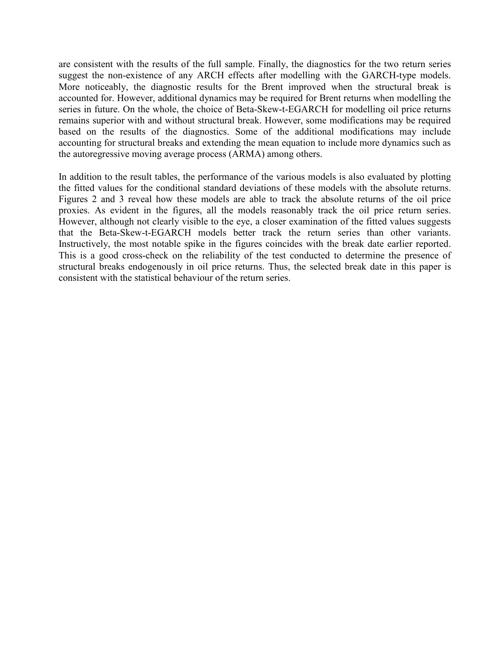are consistent with the results of the full sample. Finally, the diagnostics for the two return series suggest the non-existence of any ARCH effects after modelling with the GARCH-type models. More noticeably, the diagnostic results for the Brent improved when the structural break is accounted for. However, additional dynamics may be required for Brent returns when modelling the series in future. On the whole, the choice of Beta-Skew-t-EGARCH for modelling oil price returns remains superior with and without structural break. However, some modifications may be required based on the results of the diagnostics. Some of the additional modifications may include accounting for structural breaks and extending the mean equation to include more dynamics such as the autoregressive moving average process (ARMA) among others.

In addition to the result tables, the performance of the various models is also evaluated by plotting the fitted values for the conditional standard deviations of these models with the absolute returns. Figures 2 and 3 reveal how these models are able to track the absolute returns of the oil price proxies. As evident in the figures, all the models reasonably track the oil price return series. However, although not clearly visible to the eye, a closer examination of the fitted values suggests that the Beta-Skew-t-EGARCH models better track the return series than other variants. Instructively, the most notable spike in the figures coincides with the break date earlier reported. This is a good cross-check on the reliability of the test conducted to determine the presence of structural breaks endogenously in oil price returns. Thus, the selected break date in this paper is consistent with the statistical behaviour of the return series.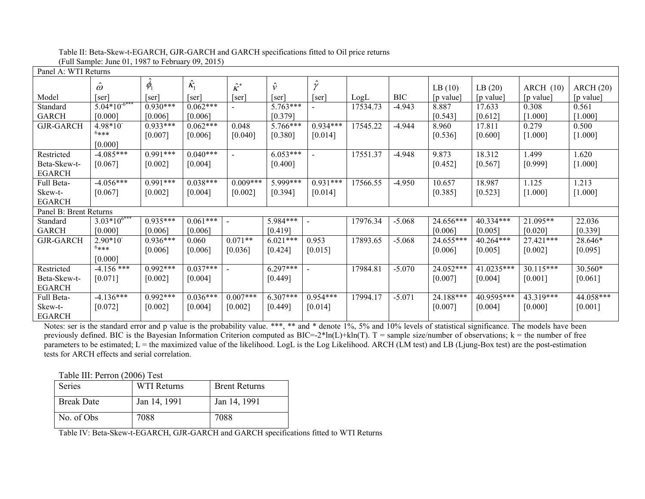|  | Table II: Beta-Skew-t-EGARCH, GJR-GARCH and GARCH specifications fitted to Oil price returns |  |  |
|--|----------------------------------------------------------------------------------------------|--|--|
|  | (Full Sample: June 01, 1987 to February 09, 2015)                                            |  |  |

| Panel A: WTI Returns   |                   |            |                  |                  |                       |             |          |            |             |            |           |           |
|------------------------|-------------------|------------|------------------|------------------|-----------------------|-------------|----------|------------|-------------|------------|-----------|-----------|
|                        | $\hat{\omega}$    | $\phi_1$   | $\hat{\kappa}_1$ | $\hat{\kappa}^*$ | $\hat{\nu}$           | $\hat{\nu}$ |          |            | LB(10)      | LB(20)     | ARCH(10)  | ARCH(20)  |
| Model                  | ser               | ser        | [ser]            | [ser]            | $\lceil$ ser $\rceil$ | ser         | LogL     | <b>BIC</b> | [p value]   | [p value]  | [p value] | [p value] |
| Standard               | $5.04*10^{-6***}$ | $0.930***$ | $0.062***$       |                  | $5.763***$            |             | 17534.73 | $-4.943$   | 8.887       | 17.633     | 0.308     | 0.561     |
| <b>GARCH</b>           | [0.000]           | [0.006]    | [0.006]          |                  | [0.379]               |             |          |            | [0.543]     | [0.612]    | [1.000]   | [1.000]   |
| <b>GJR-GARCH</b>       | 4.98*10           | $0.933***$ | $0.062***$       | 0.048            | $5.766***$            | $0.934***$  | 17545.22 | $-4.944$   | 8.960       | 17.811     | 0.279     | 0.500     |
|                        | $6***$            | [0.007]    | [0.006]          | [0.040]          | [0.380]               | [0.014]     |          |            | [0.536]     | [0.600]    | [1.000]   | [1.000]   |
|                        | [0.000]           |            |                  |                  |                       |             |          |            |             |            |           |           |
| Restricted             | $-4.085***$       | $0.991***$ | $0.040***$       | $\sim$           | $6.053***$            | $\sim$      | 17551.37 | $-4.948$   | 9.873       | 18.312     | 1.499     | 1.620     |
| Beta-Skew-t-           | [0.067]           | [0.002]    | [0.004]          |                  | [0.400]               |             |          |            | [0.452]     | [0.567]    | [0.999]   | $[1.000]$ |
| <b>EGARCH</b>          |                   |            |                  |                  |                       |             |          |            |             |            |           |           |
| Full Beta-             | $-4.056***$       | $0.991***$ | $0.038***$       | $0.009***$       | 5.999***              | $0.931***$  | 17566.55 | $-4.950$   | 10.657      | 18.987     | 1.125     | 1.213     |
| Skew-t-                | [0.067]           | [0.002]    | [0.004]          | [0.002]          | [0.394]               | [0.014]     |          |            | [0.385]     | [0.523]    | [1.000]   | $[1.000]$ |
| <b>EGARCH</b>          |                   |            |                  |                  |                       |             |          |            |             |            |           |           |
| Panel B: Brent Returns |                   |            |                  |                  |                       |             |          |            |             |            |           |           |
| Standard               | $3.03*10^{6***}$  | $0.935***$ | $0.061***$       |                  | 5.984***              |             | 17976.34 | $-5.068$   | 24.656***   | 40.334***  | 21.095**  | 22.036    |
| <b>GARCH</b>           | [0.000]           | [0.006]    | [0.006]          |                  | [0.419]               |             |          |            | [0.006]     | [0.005]    | [0.020]   | [0.339]   |
| <b>GJR-GARCH</b>       | $2.90*10^{-7}$    | $0.936***$ | 0.060            | $0.071**$        | $6.021***$            | 0.953       | 17893.65 | $-5.068$   | $24.655***$ | 40.264***  | 27.421*** | 28.646*   |
|                        | $6***$            | [0.006]    | [0.006]          | [0.036]          | [0.424]               | [0.015]     |          |            | [0.006]     | [0.005]    | [0.002]   | [0.095]   |
|                        | [0.000]           |            |                  |                  |                       |             |          |            |             |            |           |           |
| Restricted             | $-4.156$ ***      | $0.992***$ | $0.037***$       |                  | $6.297***$            |             | 17984.81 | $-5.070$   | 24.052***   | 41.0235*** | 30.115*** | 30.560*   |
| Beta-Skew-t-           | [0.071]           | [0.002]    | [0.004]          |                  | [0.449]               |             |          |            | [0.007]     | [0.004]    | [0.001]   | [0.061]   |
| <b>EGARCH</b>          |                   |            |                  |                  |                       |             |          |            |             |            |           |           |
| Full Beta-             | $-4.136***$       | $0.992***$ | $0.036***$       | $0.007***$       | $6.307***$            | $0.954***$  | 17994.17 | $-5.071$   | 24.188***   | 40.9595*** | 43.319*** | 44.058*** |
| Skew-t-                | [0.072]           | [0.002]    | [0.004]          | [0.002]          | [0.449]               | [0.014]     |          |            | [0.007]     | [0.004]    | [0.000]   | $[0.001]$ |
| <b>EGARCH</b>          |                   |            |                  |                  |                       |             |          |            |             |            |           |           |

Notes: ser is the standard error and p value is the probability value. \*\*\*, \*\* and \* denote 1%, 5% and 10% levels of statistical significance. The models have been previously defined. BIC is the Bayesian Information Criterion computed as  $BIC = 2 * ln(L) + kln(T)$ . T = sample size/number of observations; k = the number of free parameters to be estimated; L = the maximized value of the likelihood. LogL is the Log Likelihood. ARCH (LM test) and LB (Ljung-Box test) are the post-estimation tests for ARCH effects and serial correlation.

Table III: Perron (2006) Test

| <b>Series</b>     | WTI Returns  | <b>Brent Returns</b> |
|-------------------|--------------|----------------------|
| <b>Break Date</b> | Jan 14, 1991 | Jan 14, 1991         |
| No. of Obs        | 7088         | 7088                 |

Table IV: Beta-Skew-t-EGARCH, GJR-GARCH and GARCH specifications fitted to WTI Returns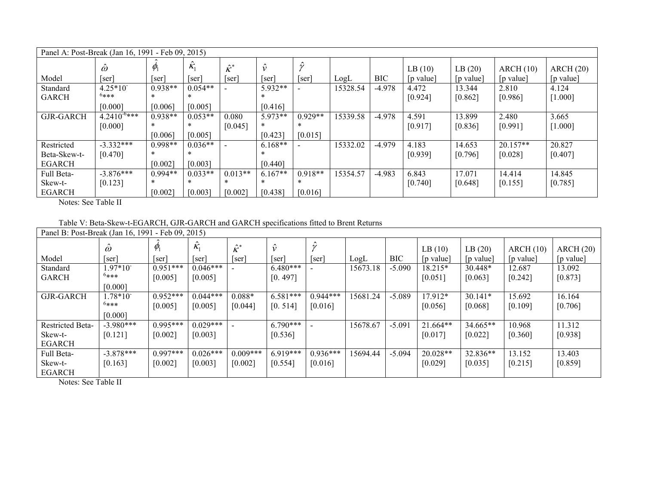| Panel A: Post-Break (Jan 16, 1991 - Feb 09, 2015) |                                |                      |                                |                           |                                |                      |          |            |                     |                     |                       |                       |
|---------------------------------------------------|--------------------------------|----------------------|--------------------------------|---------------------------|--------------------------------|----------------------|----------|------------|---------------------|---------------------|-----------------------|-----------------------|
| Model                                             | $\ddot{\omega}$<br>[ser]       | $\psi_1$<br>[ser]    | $\hat{\mathcal{K}}_1$<br>ser   | $\hat{\kappa}^*$<br>[ser] | $\hat{\nu}$<br> ser            | [ser]                | LogL     | <b>BIC</b> | LB(10)<br>[p value] | LB(20)<br>[p value] | ARCH(10)<br>[p value] | ARCH(20)<br>[p value] |
| Standard<br><b>GARCH</b>                          | $4.25*10$<br>$6***$<br>[0.000] | $0.938**$<br>[0.006] | $0.054**$<br>$\ast$<br>[0.005] |                           | 5.932**<br>[0.416]             |                      | 15328.54 | $-4.978$   | 4.472<br>[0.924]    | 13.344<br>[0.862]   | 2.810<br>[0.986]      | 4.124<br>[1.000]      |
| <b>GJR-GARCH</b>                                  | $4.2410^{-6***}$<br>[0.000]    | $0.938**$<br>[0.006] | $0.053**$<br>[0.005]           | 0.080<br>[0.045]          | $5.973**$<br>$\ast$<br>[0.423] | $0.929**$<br>[0.015] | 15339.58 | $-4.978$   | 4.591<br>[0.917]    | 13.899<br>[0.836]   | 2.480<br>[0.991]      | 3.665<br>$[1.000]$    |
| Restricted<br>Beta-Skew-t-<br><b>EGARCH</b>       | $-3.332***$<br>[0.470]         | $0.998**$<br>[0.002] | $0.036**$<br>[0.003]           |                           | $6.168**$<br>[0.440]           |                      | 15332.02 | $-4.979$   | 4.183<br>[0.939]    | 14.653<br>[0.796]   | $20.157**$<br>[0.028] | 20.827<br>[0.407]     |
| Full Beta-<br>Skew-t-<br><b>EGARCH</b>            | $-3.876***$<br>[0.123]         | $0.994**$<br>[0.002] | $0.033**$<br>$\ast$<br>[0.003] | $0.013**$<br>[0.002]      | $6.167**$<br>$\ast$<br>[0.438] | $0.918**$<br>[0.016] | 15354.57 | $-4.983$   | 6.843<br>[0.740]    | 17.071<br>[0.648]   | 14.414<br>[0.155]     | 14.845<br>$[0.785]$   |

Notes: See Table II

Table V: Beta-Skew-t-EGARCH, GJR-GARCH and GARCH specifications fitted to Brent Returns

| Panel B: Post-Break (Jan 16, 1991 - Feb 09, 2015) |                 |            |                  |                          |            |            |          |            |            |           |           |           |
|---------------------------------------------------|-----------------|------------|------------------|--------------------------|------------|------------|----------|------------|------------|-----------|-----------|-----------|
|                                                   | $\ddot{\omega}$ | $\psi_1$   | $\hat{\kappa}_1$ | $\hat{\kappa}^*$         |            |            |          |            | LB(10)     | LB(20)    | ARCH(10)  | ARCH(20)  |
| Model                                             | ser             | [ser]      | [ser]            | ser                      | ser        | ser        | LogL     | <b>BIC</b> | [p value]  | [p value] | [p value] | [p value] |
| Standard                                          | $1.97*10^{-7}$  | $0.951***$ | $0.046***$       |                          | $6.480***$ |            | 15673.18 | $-5.090$   | 18.215*    | 30.448*   | 12.687    | 13.092    |
| <b>GARCH</b>                                      | $6***$          | [0.005]    | [0.005]          |                          | [0.497]    |            |          |            | [0.051]    | [0.063]   | [0.242]   | $[0.873]$ |
|                                                   | [0.000]         |            |                  |                          |            |            |          |            |            |           |           |           |
| <b>GJR-GARCH</b>                                  | $1.78*10^{-7}$  | $0.952***$ | $0.044***$       | $0.088*$                 | $6.581***$ | $0.944***$ | 15681.24 | $-5.089$   | $17.912*$  | $30.141*$ | 15.692    | 16.164    |
|                                                   | $6***$          | [0.005]    | [0.005]          | [0.044]                  | [0.514]    | [0.016]    |          |            | [0.056]    | [0.068]   | [0.109]   | [0.706]   |
|                                                   | [0.000]         |            |                  |                          |            |            |          |            |            |           |           |           |
| <b>Restricted Beta-</b>                           | $-3.980***$     | $0.995***$ | $0.029***$       | $\overline{\phantom{a}}$ | $6.790***$ |            | 15678.67 | $-5.091$   | $21.664**$ | 34.665**  | 10.968    | 11.312    |
| Skew-t-                                           | [0.121]         | [0.002]    | [0.003]          |                          | [0.536]    |            |          |            | [0.017]    | [0.022]   | [0.360]   | $[0.938]$ |
| EGARCH                                            |                 |            |                  |                          |            |            |          |            |            |           |           |           |
| Full Beta-                                        | $-3.878***$     | $0.997***$ | $0.026***$       | $0.009***$               | $6.919***$ | $0.936***$ | 15694.44 | $-5.094$   | $20.028**$ | 32.836**  | 13.152    | 13.403    |
| Skew-t-                                           | [0.163]         | [0.002]    | [0.003]          | [0.002]                  | [0.554]    | [0.016]    |          |            | [0.029]    | [0.035]   | [0.215]   | $[0.859]$ |
| <b>EGARCH</b>                                     |                 |            |                  |                          |            |            |          |            |            |           |           |           |

Notes: See Table II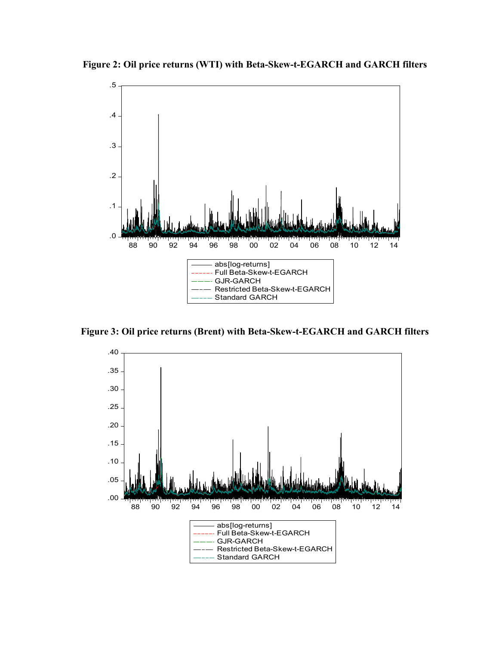Figure 2: Oil price returns (WTI) with Beta-Skew-t-EGARCH and GARCH filters



Figure 3: Oil price returns (Brent) with Beta-Skew-t-EGARCH and GARCH filters